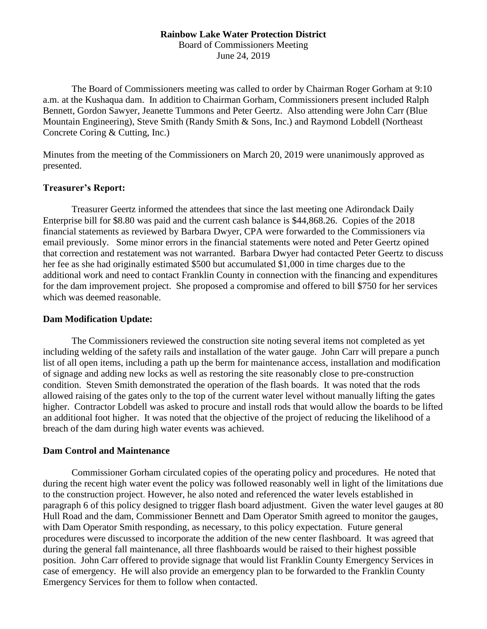## **Rainbow Lake Water Protection District**

Board of Commissioners Meeting June 24, 2019

The Board of Commissioners meeting was called to order by Chairman Roger Gorham at 9:10 a.m. at the Kushaqua dam. In addition to Chairman Gorham, Commissioners present included Ralph Bennett, Gordon Sawyer, Jeanette Tummons and Peter Geertz. Also attending were John Carr (Blue Mountain Engineering), Steve Smith (Randy Smith & Sons, Inc.) and Raymond Lobdell (Northeast Concrete Coring & Cutting, Inc.)

Minutes from the meeting of the Commissioners on March 20, 2019 were unanimously approved as presented.

#### **Treasurer's Report:**

Treasurer Geertz informed the attendees that since the last meeting one Adirondack Daily Enterprise bill for \$8.80 was paid and the current cash balance is \$44,868.26. Copies of the 2018 financial statements as reviewed by Barbara Dwyer, CPA were forwarded to the Commissioners via email previously. Some minor errors in the financial statements were noted and Peter Geertz opined that correction and restatement was not warranted. Barbara Dwyer had contacted Peter Geertz to discuss her fee as she had originally estimated \$500 but accumulated \$1,000 in time charges due to the additional work and need to contact Franklin County in connection with the financing and expenditures for the dam improvement project. She proposed a compromise and offered to bill \$750 for her services which was deemed reasonable.

#### **Dam Modification Update:**

The Commissioners reviewed the construction site noting several items not completed as yet including welding of the safety rails and installation of the water gauge. John Carr will prepare a punch list of all open items, including a path up the berm for maintenance access, installation and modification of signage and adding new locks as well as restoring the site reasonably close to pre-construction condition. Steven Smith demonstrated the operation of the flash boards. It was noted that the rods allowed raising of the gates only to the top of the current water level without manually lifting the gates higher. Contractor Lobdell was asked to procure and install rods that would allow the boards to be lifted an additional foot higher. It was noted that the objective of the project of reducing the likelihood of a breach of the dam during high water events was achieved.

#### **Dam Control and Maintenance**

Commissioner Gorham circulated copies of the operating policy and procedures. He noted that during the recent high water event the policy was followed reasonably well in light of the limitations due to the construction project. However, he also noted and referenced the water levels established in paragraph 6 of this policy designed to trigger flash board adjustment. Given the water level gauges at 80 Hull Road and the dam, Commissioner Bennett and Dam Operator Smith agreed to monitor the gauges, with Dam Operator Smith responding, as necessary, to this policy expectation. Future general procedures were discussed to incorporate the addition of the new center flashboard. It was agreed that during the general fall maintenance, all three flashboards would be raised to their highest possible position. John Carr offered to provide signage that would list Franklin County Emergency Services in case of emergency. He will also provide an emergency plan to be forwarded to the Franklin County Emergency Services for them to follow when contacted.